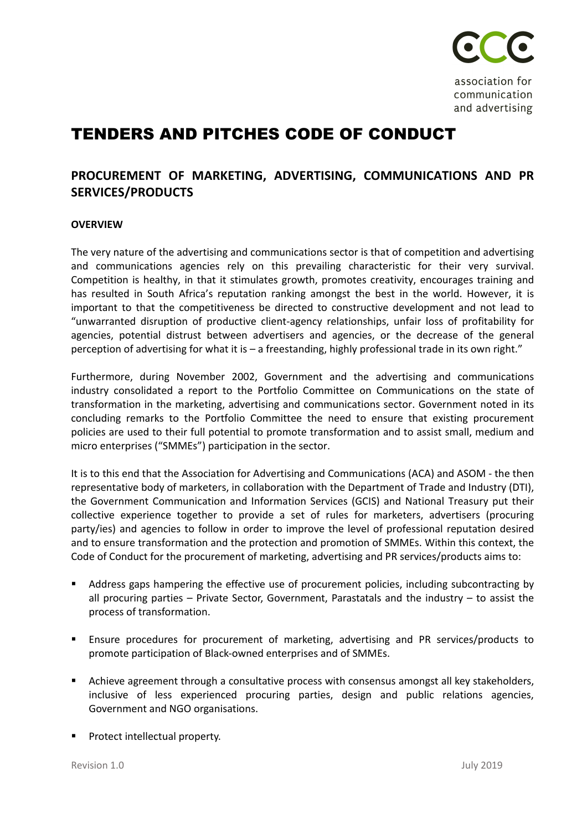

association for communication and advertising

## TENDERS AND PITCHES CODE OF CONDUCT

## **PROCUREMENT OF MARKETING, ADVERTISING, COMMUNICATIONS AND PR SERVICES/PRODUCTS**

## **OVERVIEW**

The very nature of the advertising and communications sector is that of competition and advertising and communications agencies rely on this prevailing characteristic for their very survival. Competition is healthy, in that it stimulates growth, promotes creativity, encourages training and has resulted in South Africa's reputation ranking amongst the best in the world. However, it is important to that the competitiveness be directed to constructive development and not lead to "unwarranted disruption of productive client-agency relationships, unfair loss of profitability for agencies, potential distrust between advertisers and agencies, or the decrease of the general perception of advertising for what it is – a freestanding, highly professional trade in its own right."

Furthermore, during November 2002, Government and the advertising and communications industry consolidated a report to the Portfolio Committee on Communications on the state of transformation in the marketing, advertising and communications sector. Government noted in its concluding remarks to the Portfolio Committee the need to ensure that existing procurement policies are used to their full potential to promote transformation and to assist small, medium and micro enterprises ("SMMEs") participation in the sector.

It is to this end that the Association for Advertising and Communications (ACA) and ASOM - the then representative body of marketers, in collaboration with the Department of Trade and Industry (DTI), the Government Communication and Information Services (GCIS) and National Treasury put their collective experience together to provide a set of rules for marketers, advertisers (procuring party/ies) and agencies to follow in order to improve the level of professional reputation desired and to ensure transformation and the protection and promotion of SMMEs. Within this context, the Code of Conduct for the procurement of marketing, advertising and PR services/products aims to:

- Address gaps hampering the effective use of procurement policies, including subcontracting by all procuring parties – Private Sector, Government, Parastatals and the industry – to assist the process of transformation.
- Ensure procedures for procurement of marketing, advertising and PR services/products to promote participation of Black-owned enterprises and of SMMEs.
- **•** Achieve agreement through a consultative process with consensus amongst all key stakeholders, inclusive of less experienced procuring parties, design and public relations agencies, Government and NGO organisations.
- Protect intellectual property.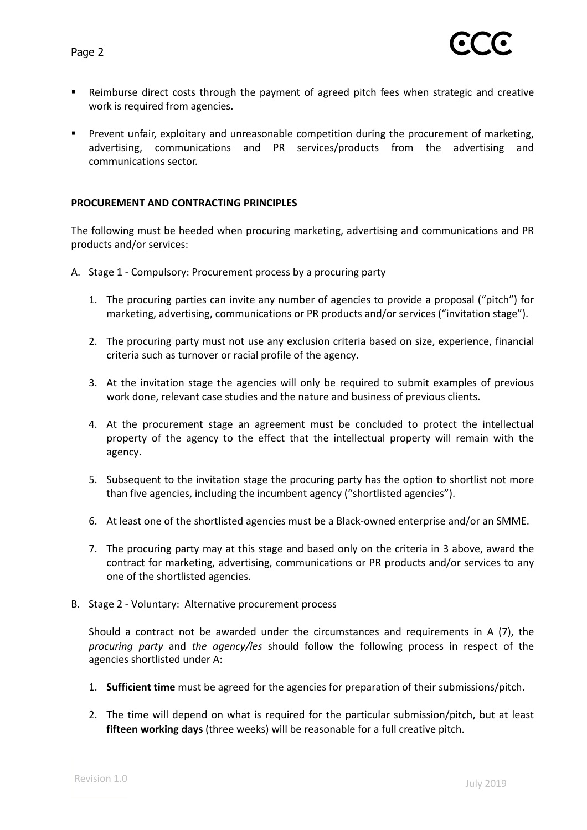

- Reimburse direct costs through the payment of agreed pitch fees when strategic and creative work is required from agencies.
- **•** Prevent unfair, exploitary and unreasonable competition during the procurement of marketing, advertising, communications and PR services/products from the advertising and communications sector.

## **PROCUREMENT AND CONTRACTING PRINCIPLES**

The following must be heeded when procuring marketing, advertising and communications and PR products and/or services:

- A. Stage 1 Compulsory: Procurement process by a procuring party
	- 1. The procuring parties can invite any number of agencies to provide a proposal ("pitch") for marketing, advertising, communications or PR products and/or services ("invitation stage").
	- 2. The procuring party must not use any exclusion criteria based on size, experience, financial criteria such as turnover or racial profile of the agency.
	- 3. At the invitation stage the agencies will only be required to submit examples of previous work done, relevant case studies and the nature and business of previous clients.
	- 4. At the procurement stage an agreement must be concluded to protect the intellectual property of the agency to the effect that the intellectual property will remain with the agency.
	- 5. Subsequent to the invitation stage the procuring party has the option to shortlist not more than five agencies, including the incumbent agency ("shortlisted agencies").
	- 6. At least one of the shortlisted agencies must be a Black-owned enterprise and/or an SMME.
	- 7. The procuring party may at this stage and based only on the criteria in 3 above, award the contract for marketing, advertising, communications or PR products and/or services to any one of the shortlisted agencies.
- B. Stage 2 Voluntary: Alternative procurement process

Should a contract not be awarded under the circumstances and requirements in A (7), the *procuring party* and *the agency/ies* should follow the following process in respect of the agencies shortlisted under A:

- 1. **Sufficient time** must be agreed for the agencies for preparation of their submissions/pitch.
- 2. The time will depend on what is required for the particular submission/pitch, but at least **fifteen working days** (three weeks) will be reasonable for a full creative pitch.